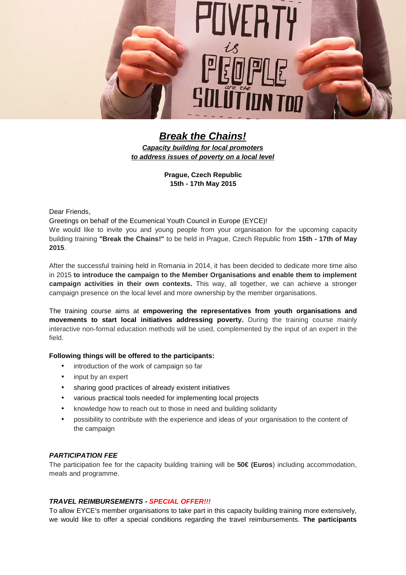

**Break the Chains! Capacity building for local promoters to address issues of poverty on a local level** 

> **Prague, Czech Republic 15th - 17th May 2015**

Dear Friends,

Greetings on behalf of the Ecumenical Youth Council in Europe (EYCE)!

We would like to invite you and young people from your organisation for the upcoming capacity building training **"Break the Chains!"** to be held in Prague, Czech Republic from **15th - 17th of May 2015**.

After the successful training held in Romania in 2014, it has been decided to dedicate more time also in 2015 **to introduce the campaign to the Member Organisations and enable them to implement campaign activities in their own contexts.** This way, all together, we can achieve a stronger campaign presence on the local level and more ownership by the member organisations.

The training course aims at **empowering the representatives from youth organisations and movements to start local initiatives addressing poverty.** During the training course mainly interactive non-formal education methods will be used, complemented by the input of an expert in the field.

### **Following things will be offered to the participants:**

- introduction of the work of campaign so far
- input by an expert
- sharing good practices of already existent initiatives
- various practical tools needed for implementing local projects
- knowledge how to reach out to those in need and building solidarity
- possibility to contribute with the experience and ideas of your organisation to the content of the campaign

#### **PARTICIPATION FEE**

The participation fee for the capacity building training will be **50€ (Euros**) including accommodation, meals and programme.

# **TRAVEL REIMBURSEMENTS - SPECIAL OFFER!!!**

To allow EYCE's member organisations to take part in this capacity building training more extensively, we would like to offer a special conditions regarding the travel reimbursements. **The participants**